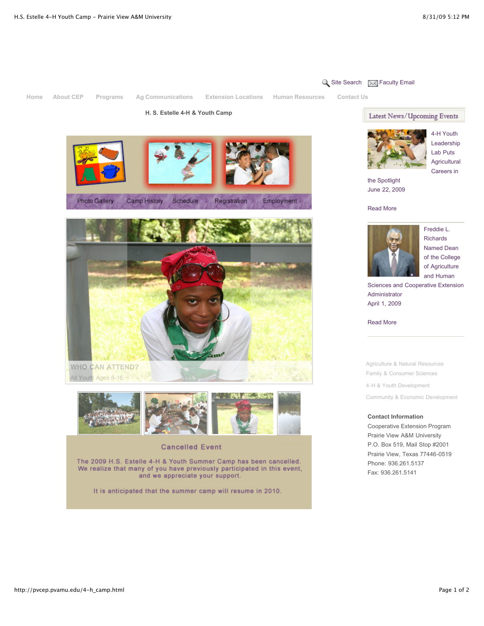